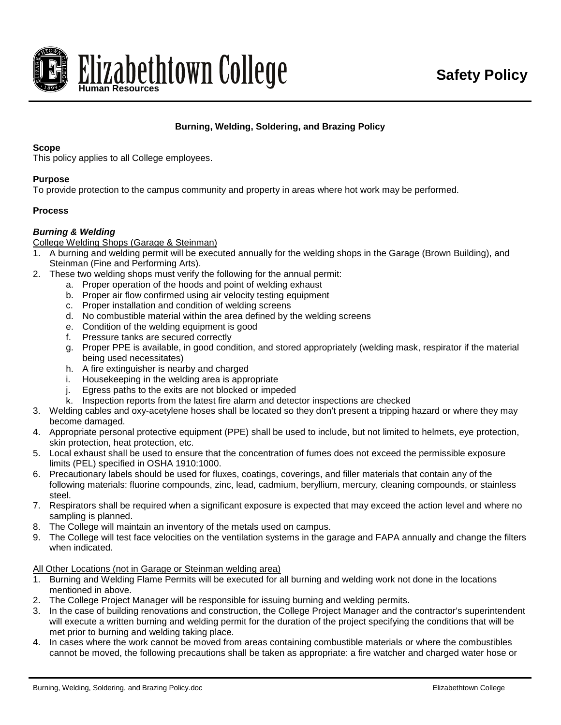

# **Burning, Welding, Soldering, and Brazing Policy**

### **Scope**

This policy applies to all College employees.

### **Purpose**

To provide protection to the campus community and property in areas where hot work may be performed.

## **Process**

## *Burning & Welding*

College Welding Shops (Garage & Steinman)

1. A burning and welding permit will be executed annually for the welding shops in the Garage (Brown Building), and Steinman (Fine and Performing Arts).

- 2. These two welding shops must verify the following for the annual permit:
	- a. Proper operation of the hoods and point of welding exhaust
	- b. Proper air flow confirmed using air velocity testing equipment
	- c. Proper installation and condition of welding screens
	- d. No combustible material within the area defined by the welding screens
	- e. Condition of the welding equipment is good
	- f. Pressure tanks are secured correctly
	- g. Proper PPE is available, in good condition, and stored appropriately (welding mask, respirator if the material being used necessitates)
	- h. A fire extinguisher is nearby and charged
	- i. Housekeeping in the welding area is appropriate
	- j. Egress paths to the exits are not blocked or impeded
	- k. Inspection reports from the latest fire alarm and detector inspections are checked
- 3. Welding cables and oxy-acetylene hoses shall be located so they don't present a tripping hazard or where they may become damaged.
- 4. Appropriate personal protective equipment (PPE) shall be used to include, but not limited to helmets, eye protection, skin protection, heat protection, etc.
- 5. Local exhaust shall be used to ensure that the concentration of fumes does not exceed the permissible exposure limits (PEL) specified in OSHA 1910:1000.
- 6. Precautionary labels should be used for fluxes, coatings, coverings, and filler materials that contain any of the following materials: fluorine compounds, zinc, lead, cadmium, beryllium, mercury, cleaning compounds, or stainless steel.
- 7. Respirators shall be required when a significant exposure is expected that may exceed the action level and where no sampling is planned.
- 8. The College will maintain an inventory of the metals used on campus.
- 9. The College will test face velocities on the ventilation systems in the garage and FAPA annually and change the filters when indicated.

### All Other Locations (not in Garage or Steinman welding area)

- 1. Burning and Welding Flame Permits will be executed for all burning and welding work not done in the locations mentioned in above.
- 2. The College Project Manager will be responsible for issuing burning and welding permits.
- 3. In the case of building renovations and construction, the College Project Manager and the contractor's superintendent will execute a written burning and welding permit for the duration of the project specifying the conditions that will be met prior to burning and welding taking place.
- 4. In cases where the work cannot be moved from areas containing combustible materials or where the combustibles cannot be moved, the following precautions shall be taken as appropriate: a fire watcher and charged water hose or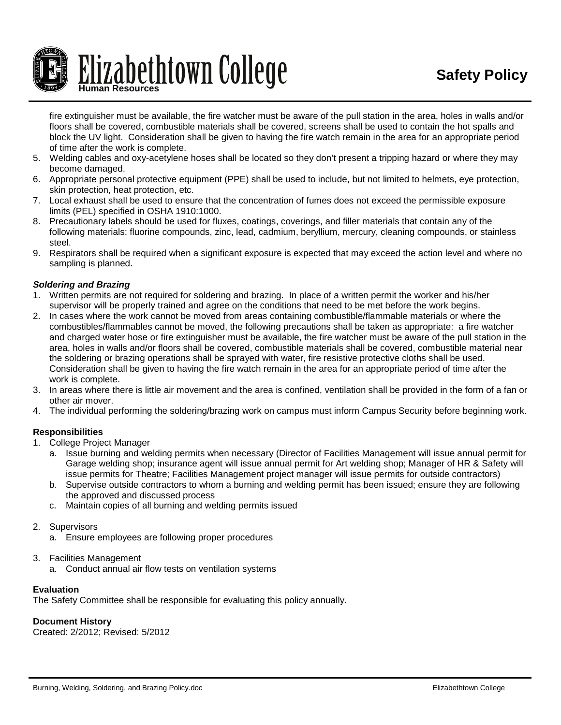

fire extinguisher must be available, the fire watcher must be aware of the pull station in the area, holes in walls and/or floors shall be covered, combustible materials shall be covered, screens shall be used to contain the hot spalls and block the UV light. Consideration shall be given to having the fire watch remain in the area for an appropriate period of time after the work is complete.

- 5. Welding cables and oxy-acetylene hoses shall be located so they don't present a tripping hazard or where they may become damaged.
- 6. Appropriate personal protective equipment (PPE) shall be used to include, but not limited to helmets, eye protection, skin protection, heat protection, etc.
- 7. Local exhaust shall be used to ensure that the concentration of fumes does not exceed the permissible exposure limits (PEL) specified in OSHA 1910:1000.
- 8. Precautionary labels should be used for fluxes, coatings, coverings, and filler materials that contain any of the following materials: fluorine compounds, zinc, lead, cadmium, beryllium, mercury, cleaning compounds, or stainless steel.
- 9. Respirators shall be required when a significant exposure is expected that may exceed the action level and where no sampling is planned.

## *Soldering and Brazing*

- 1. Written permits are not required for soldering and brazing. In place of a written permit the worker and his/her supervisor will be properly trained and agree on the conditions that need to be met before the work begins.
- 2. In cases where the work cannot be moved from areas containing combustible/flammable materials or where the combustibles/flammables cannot be moved, the following precautions shall be taken as appropriate: a fire watcher and charged water hose or fire extinguisher must be available, the fire watcher must be aware of the pull station in the area, holes in walls and/or floors shall be covered, combustible materials shall be covered, combustible material near the soldering or brazing operations shall be sprayed with water, fire resistive protective cloths shall be used. Consideration shall be given to having the fire watch remain in the area for an appropriate period of time after the work is complete.
- 3. In areas where there is little air movement and the area is confined, ventilation shall be provided in the form of a fan or other air mover.
- 4. The individual performing the soldering/brazing work on campus must inform Campus Security before beginning work.

## **Responsibilities**

- 1. College Project Manager
	- a. Issue burning and welding permits when necessary (Director of Facilities Management will issue annual permit for Garage welding shop; insurance agent will issue annual permit for Art welding shop; Manager of HR & Safety will issue permits for Theatre; Facilities Management project manager will issue permits for outside contractors)
	- b. Supervise outside contractors to whom a burning and welding permit has been issued; ensure they are following the approved and discussed process
	- c. Maintain copies of all burning and welding permits issued
- 2. Supervisors
	- a. Ensure employees are following proper procedures
- 3. Facilities Management
	- a. Conduct annual air flow tests on ventilation systems

## **Evaluation**

The Safety Committee shall be responsible for evaluating this policy annually.

### **Document History**

Created: 2/2012; Revised: 5/2012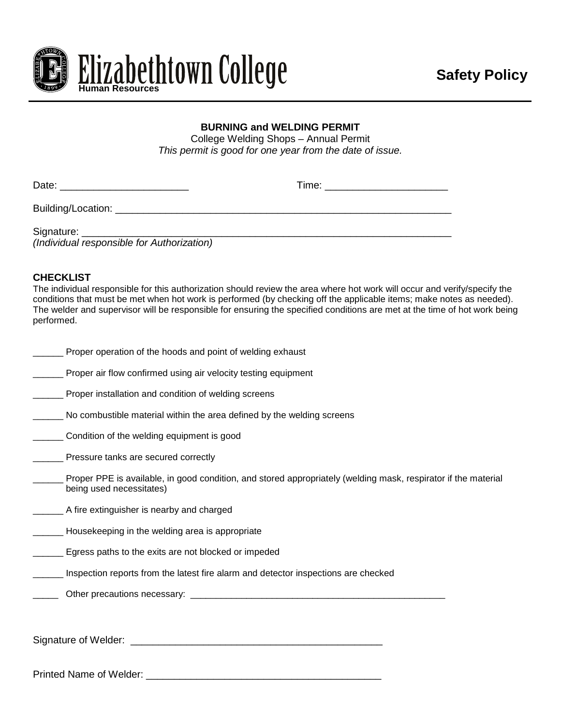

# **BURNING and WELDING PERMIT**

College Welding Shops – Annual Permit *This permit is good for one year from the date of issue.*

| Date:                                 | Time: ______________________ |
|---------------------------------------|------------------------------|
| Building/Location: __________________ |                              |
| Signature:                            |                              |

*(Individual responsible for Authorization)*

# **CHECKLIST**

The individual responsible for this authorization should review the area where hot work will occur and verify/specify the conditions that must be met when hot work is performed (by checking off the applicable items; make notes as needed). The welder and supervisor will be responsible for ensuring the specified conditions are met at the time of hot work being performed.

| Proper operation of the hoods and point of welding exhaust                                                                                 |
|--------------------------------------------------------------------------------------------------------------------------------------------|
| _____ Proper air flow confirmed using air velocity testing equipment                                                                       |
| <b>Proper installation and condition of welding screens</b>                                                                                |
| No combustible material within the area defined by the welding screens                                                                     |
| ______ Condition of the welding equipment is good                                                                                          |
| _____ Pressure tanks are secured correctly                                                                                                 |
| Proper PPE is available, in good condition, and stored appropriately (welding mask, respirator if the material<br>being used necessitates) |
| A fire extinguisher is nearby and charged                                                                                                  |
| _____ Housekeeping in the welding area is appropriate                                                                                      |
| <b>Example 2</b> Egress paths to the exits are not blocked or impeded                                                                      |
| Inspection reports from the latest fire alarm and detector inspections are checked                                                         |
|                                                                                                                                            |
|                                                                                                                                            |
|                                                                                                                                            |
|                                                                                                                                            |
| <b>Printed Name of Welder:</b>                                                                                                             |